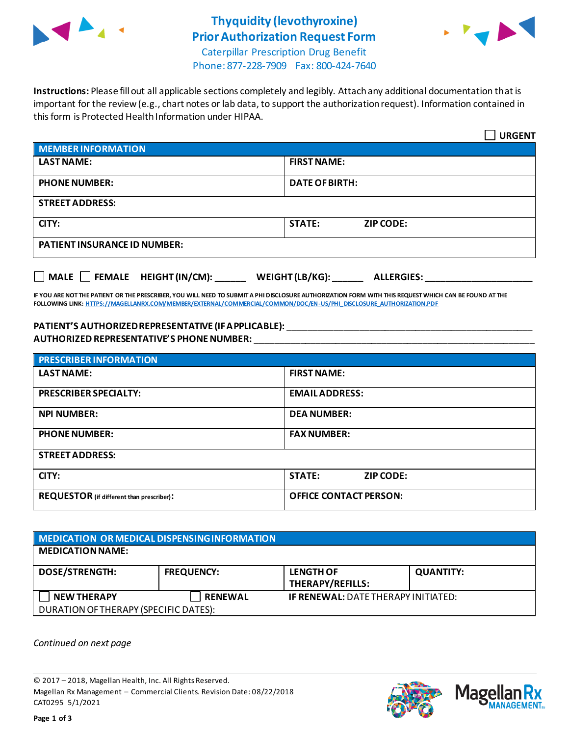

## **Thyquidity (levothyroxine) Prior Authorization Request Form**



Caterpillar Prescription Drug Benefit Phone: 877-228-7909 Fax: 800-424-7640

**Instructions:** Please fill out all applicable sections completely and legibly. Attach any additional documentation that is important for the review (e.g., chart notes or lab data, to support the authorization request). Information contained in this form is Protected Health Information under HIPAA.

|                                                                                   | <b>URGENT</b>                     |  |
|-----------------------------------------------------------------------------------|-----------------------------------|--|
| <b>MEMBER INFORMATION</b>                                                         |                                   |  |
| <b>LAST NAME:</b>                                                                 | <b>FIRST NAME:</b>                |  |
| <b>PHONE NUMBER:</b>                                                              | <b>DATE OF BIRTH:</b>             |  |
| <b>STREET ADDRESS:</b>                                                            |                                   |  |
| CITY:                                                                             | <b>STATE:</b><br><b>ZIP CODE:</b> |  |
| <b>PATIENT INSURANCE ID NUMBER:</b>                                               |                                   |  |
| $\Box$ MALE $\Box$ FEMALE HEIGHT (IN/CM):<br>WEIGHT (LB/KG):<br><b>ALLERGIES:</b> |                                   |  |

**IF YOU ARE NOT THE PATIENT OR THE PRESCRIBER, YOU WILL NEED TO SUBMIT A PHI DISCLOSURE AUTHORIZATION FORM WITH THIS REQUEST WHICH CAN BE FOUND AT THE FOLLOWING LINK[: HTTPS://MAGELLANRX.COM/MEMBER/EXTERNAL/COMMERCIAL/COMMON/DOC/EN-US/PHI\\_DISCLOSURE\\_AUTHORIZATION.PDF](https://magellanrx.com/member/external/commercial/common/doc/en-us/PHI_Disclosure_Authorization.pdf)**

#### **PATIENT'S AUTHORIZED REPRESENTATIVE (IF APPLICABLE):** \_\_\_\_\_\_\_\_\_\_\_\_\_\_\_\_\_\_\_\_\_\_\_\_\_\_\_\_\_\_\_\_\_\_\_\_\_\_\_\_\_\_\_\_\_\_\_\_ **AUTHORIZED REPRESENTATIVE'S PHONE NUMBER:** \_\_\_\_\_\_\_\_\_\_\_\_\_\_\_\_\_\_\_\_\_\_\_\_\_\_\_\_\_\_\_\_\_\_\_\_\_\_\_\_\_\_\_\_\_\_\_\_\_\_\_\_\_\_\_

| <b>PRESCRIBER INFORMATION</b>             |                                   |  |
|-------------------------------------------|-----------------------------------|--|
| <b>LAST NAME:</b>                         | <b>FIRST NAME:</b>                |  |
| <b>PRESCRIBER SPECIALTY:</b>              | <b>EMAIL ADDRESS:</b>             |  |
| <b>NPI NUMBER:</b>                        | <b>DEA NUMBER:</b>                |  |
| <b>PHONE NUMBER:</b>                      | <b>FAX NUMBER:</b>                |  |
| <b>STREET ADDRESS:</b>                    |                                   |  |
| CITY:                                     | <b>STATE:</b><br><b>ZIP CODE:</b> |  |
| REQUESTOR (if different than prescriber): | <b>OFFICE CONTACT PERSON:</b>     |  |

### **MEDICATION OR MEDICAL DISPENSING INFORMATION MEDICATION NAME: DOSE/STRENGTH: FREQUENCY: LENGTH OF THERAPY/REFILLS: QUANTITY: NEW THERAPY RENEWAL IF RENEWAL:** DATE THERAPY INITIATED: DURATION OF THERAPY (SPECIFIC DATES):

*Continued on next page*

© 2017 – 2018, Magellan Health, Inc. All Rights Reserved. Magellan Rx Management – Commercial Clients. Revision Date: 08/22/2018 CAT0295 5/1/2021



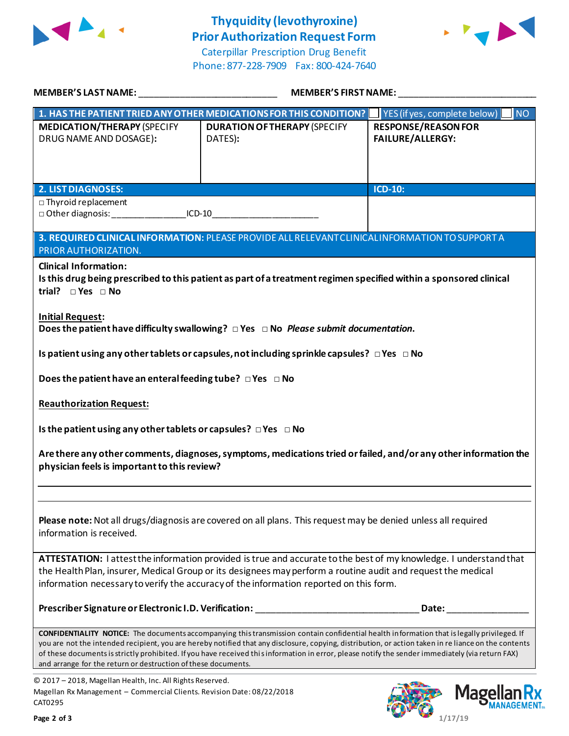

### **Thyquidity (levothyroxine) Prior Authorization Request Form**

Caterpillar Prescription Drug Benefit Phone: 877-228-7909 Fax: 800-424-7640



| MEMBER'S LAST NAME: ______________________________                                                                                                                                                                                                                                                         | <b>MEMBER'S FIRST NAME:</b>                                                                                        |                                                       |  |
|------------------------------------------------------------------------------------------------------------------------------------------------------------------------------------------------------------------------------------------------------------------------------------------------------------|--------------------------------------------------------------------------------------------------------------------|-------------------------------------------------------|--|
|                                                                                                                                                                                                                                                                                                            | 1. HAS THE PATIENT TRIED ANY OTHER MEDICATIONS FOR THIS CONDITION?   YES (if yes, complete below)     NO           |                                                       |  |
| <b>MEDICATION/THERAPY (SPECIFY</b><br>DRUG NAME AND DOSAGE):                                                                                                                                                                                                                                               | <b>DURATION OF THERAPY (SPECIFY</b><br>DATES):                                                                     | <b>RESPONSE/REASON FOR</b><br><b>FAILURE/ALLERGY:</b> |  |
|                                                                                                                                                                                                                                                                                                            |                                                                                                                    |                                                       |  |
|                                                                                                                                                                                                                                                                                                            |                                                                                                                    |                                                       |  |
| <b>2. LIST DIAGNOSES:</b>                                                                                                                                                                                                                                                                                  |                                                                                                                    | <b>ICD-10:</b>                                        |  |
| $\Box$ Thyroid replacement                                                                                                                                                                                                                                                                                 |                                                                                                                    |                                                       |  |
| □ Other diagnosis: ____________________ICD-10__________________________________                                                                                                                                                                                                                            |                                                                                                                    |                                                       |  |
| 3. REQUIRED CLINICAL INFORMATION: PLEASE PROVIDE ALL RELEVANT CLINICAL INFORMATION TO SUPPORT A                                                                                                                                                                                                            |                                                                                                                    |                                                       |  |
| PRIOR AUTHORIZATION.                                                                                                                                                                                                                                                                                       |                                                                                                                    |                                                       |  |
| <b>Clinical Information:</b>                                                                                                                                                                                                                                                                               |                                                                                                                    |                                                       |  |
| trial? $\Box$ Yes $\Box$ No                                                                                                                                                                                                                                                                                | Is this drug being prescribed to this patient as part of a treatment regimen specified within a sponsored clinical |                                                       |  |
|                                                                                                                                                                                                                                                                                                            |                                                                                                                    |                                                       |  |
| <b>Initial Request:</b>                                                                                                                                                                                                                                                                                    |                                                                                                                    |                                                       |  |
| Does the patient have difficulty swallowing? $\Box$ Yes $\Box$ No Please submit documentation.                                                                                                                                                                                                             |                                                                                                                    |                                                       |  |
| Is patient using any other tablets or capsules, not including sprinkle capsules? $\Box$ Yes $\Box$ No                                                                                                                                                                                                      |                                                                                                                    |                                                       |  |
| Does the patient have an enteral feeding tube? $\Box$ Yes $\Box$ No                                                                                                                                                                                                                                        |                                                                                                                    |                                                       |  |
|                                                                                                                                                                                                                                                                                                            |                                                                                                                    |                                                       |  |
| <b>Reauthorization Request:</b>                                                                                                                                                                                                                                                                            |                                                                                                                    |                                                       |  |
| Is the patient using any other tablets or capsules? $\Box$ Yes $\Box$ No                                                                                                                                                                                                                                   |                                                                                                                    |                                                       |  |
| Are there any other comments, diagnoses, symptoms, medications tried or failed, and/or any other information the                                                                                                                                                                                           |                                                                                                                    |                                                       |  |
| physician feels is important to this review?                                                                                                                                                                                                                                                               |                                                                                                                    |                                                       |  |
|                                                                                                                                                                                                                                                                                                            |                                                                                                                    |                                                       |  |
|                                                                                                                                                                                                                                                                                                            |                                                                                                                    |                                                       |  |
| Please note: Not all drugs/diagnosis are covered on all plans. This request may be denied unless all required                                                                                                                                                                                              |                                                                                                                    |                                                       |  |
| information is received.                                                                                                                                                                                                                                                                                   |                                                                                                                    |                                                       |  |
|                                                                                                                                                                                                                                                                                                            |                                                                                                                    |                                                       |  |
| ATTESTATION: I attest the information provided is true and accurate to the best of my knowledge. I understand that                                                                                                                                                                                         |                                                                                                                    |                                                       |  |
| the Health Plan, insurer, Medical Group or its designees may perform a routine audit and request the medical<br>information necessary to verify the accuracy of the information reported on this form.                                                                                                     |                                                                                                                    |                                                       |  |
|                                                                                                                                                                                                                                                                                                            |                                                                                                                    |                                                       |  |
|                                                                                                                                                                                                                                                                                                            | Prescriber Signature or Electronic I.D. Verification: National Control of Control of the Control of The Control    | Date:                                                 |  |
|                                                                                                                                                                                                                                                                                                            |                                                                                                                    |                                                       |  |
| <b>CONFIDENTIALITY NOTICE:</b> The documents accompanying this transmission contain confidential health information that is legally privileged. If<br>you are not the intended recipient, you are hereby notified that any disclosure, copying, distribution, or action taken in re liance on the contents |                                                                                                                    |                                                       |  |
| of these documents is strictly prohibited. If you have received this information in error, please notify the sender immediately (via return FAX)<br>and arrange for the return or destruction of these documents.                                                                                          |                                                                                                                    |                                                       |  |
|                                                                                                                                                                                                                                                                                                            |                                                                                                                    |                                                       |  |

© 2017 – 2018, Magellan Health, Inc. All Rights Reserved. Magellan Rx Management – Commercial Clients. Revision Date: 08/22/2018 CAT0295